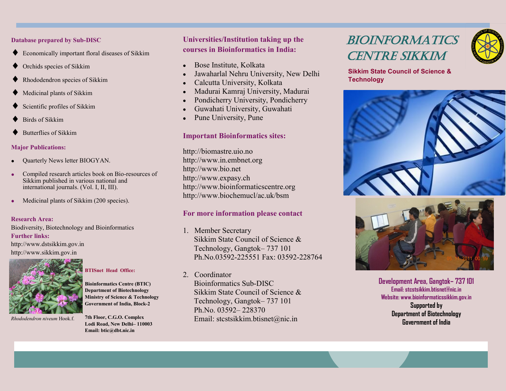**Database prepared by Sub-DISC**

- Economically important floral diseases of Sikkim
- Orchids species of Sikkim
- Rhododendron species of Sikkim
- Medicinal plants of Sikkim
- Scientific profiles of Sikkim
- Birds of Sikkim
- Butterflies of Sikkim

### **Major Publications:**

- Quarterly News letter BIOGYAN.
- Compiled research articles book on Bio-resources of Sikkim published in various national and international journals. (Vol. I, II, III).
- Medicinal plants of Sikkim (200 species).

### **Research Area:**

Biodiversity, Biotechnology and Bioinformatics **Further links:** http://www.dstsikkim.gov.in http://www.sikkim.gov.in



*Rhododendron niveum* Hook.f.

# **BTISnet Head Office:**

**Bioinformatics Centre (BTIC) Department of Biotechnology Ministry of Science & Technology Government of India, Block-2**

**7th Floor, C.G.O. Complex Lodi Road, New Delhi– 110003 Email: btic@dbt.nic.in**

# **Universities/Institution taking up the courses in Bioinformatics in India:**

- Bose Institute, Kolkata
- Jawaharlal Nehru University, New Delhi
- Calcutta University, Kolkata
- Madurai Kamraj University, Madurai
- Pondicherry University, Pondicherry
- Guwahati University, Guwahati
- Pune University, Pune  $\bullet$

# **Important Bioinformatics sites:**

http://biomastre.uio.no http://www.in.embnet.org http://www.bio.net http://www.expasy.ch http://www.bioinformaticscentre.org http://www.biochemucl/ac.uk/bsm

# **For more information please contact**

- 1. Member Secretary Sikkim State Council of Science & Technology, Gangtok– 737 101 Ph.No.03592-225551 Fax: 03592-228764
- 2. Coordinator

Bioinformatics Sub-DISC Sikkim State Council of Science & Technology, Gangtok– 737 101 Ph.No. 03592– 228370 Email: stcstsikkim.btisnet@nic.in

# BIOINFORMATICS CENTRE SIKKIM



**Sikkim State Council of Science & Technology**





**Development Area, Gangtok– 737 101 Email: stcstsikkim.btisnet@nic.in Website: www.bioinformaticssikkim.gov.in Supported by Department of Biotechnology Government of India**